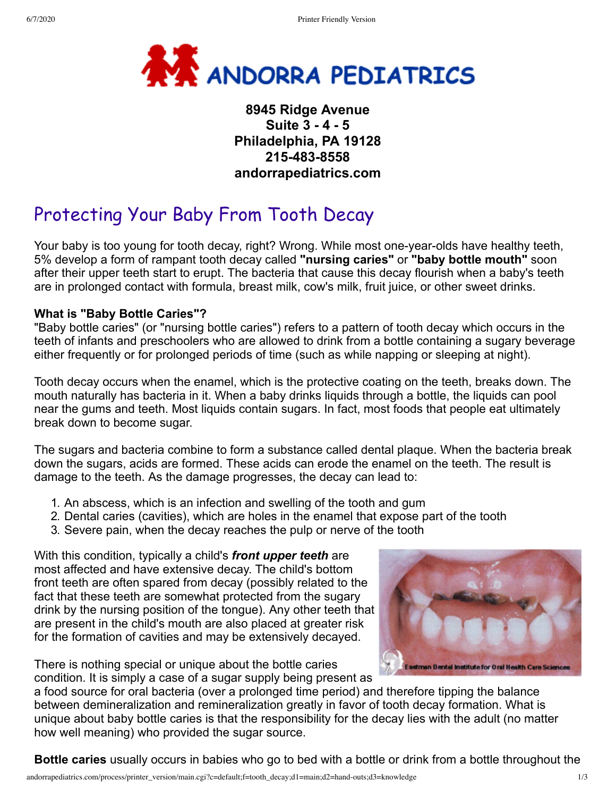

# **8945 Ridge Avenue Suite 3 - 4 - 5 Philadelphia, PA 19128 215-483-8558 andorrapediatrics.com**

# Protecting Your Baby From Tooth Decay

Your baby is too young for tooth decay, right? Wrong. While most one-year-olds have healthy teeth, 5% develop a form of rampant tooth decay called **"nursing caries"** or **"baby bottle mouth"** soon after their upper teeth start to erupt. The bacteria that cause this decay flourish when a baby's teeth are in prolonged contact with formula, breast milk, cow's milk, fruit juice, or other sweet drinks.

#### **What is "Baby Bottle Caries"?**

"Baby bottle caries" (or "nursing bottle caries") refers to a pattern of tooth decay which occurs in the teeth of infants and preschoolers who are allowed to drink from a bottle containing a sugary beverage either frequently or for prolonged periods of time (such as while napping or sleeping at night).

Tooth decay occurs when the enamel, which is the protective coating on the teeth, breaks down. The mouth naturally has bacteria in it. When a baby drinks liquids through a bottle, the liquids can pool near the gums and teeth. Most liquids contain sugars. In fact, most foods that people eat ultimately break down to become sugar.

The sugars and bacteria combine to form a substance called dental plaque. When the bacteria break down the sugars, acids are formed. These acids can erode the enamel on the teeth. The result is damage to the teeth. As the damage progresses, the decay can lead to:

- 1. An abscess, which is an infection and swelling of the tooth and gum
- 2. Dental caries (cavities), which are holes in the enamel that expose part of the tooth
- 3. Severe pain, when the decay reaches the pulp or nerve of the tooth

With this condition, typically a child's *front upper teeth* are most affected and have extensive decay. The child's bottom front teeth are often spared from decay (possibly related to the fact that these teeth are somewhat protected from the sugary drink by the nursing position of the tongue). Any other teeth that are present in the child's mouth are also placed at greater risk for the formation of cavities and may be extensively decayed.

There is nothing special or unique about the bottle caries condition. It is simply a case of a sugar supply being present as



a food source for oral bacteria (over a prolonged time period) and therefore tipping the balance between demineralization and remineralization greatly in favor of tooth decay formation. What is unique about baby bottle caries is that the responsibility for the decay lies with the adult (no matter how well meaning) who provided the sugar source.

**Bottle caries** usually occurs in babies who go to bed with a bottle or drink from a bottle throughout the